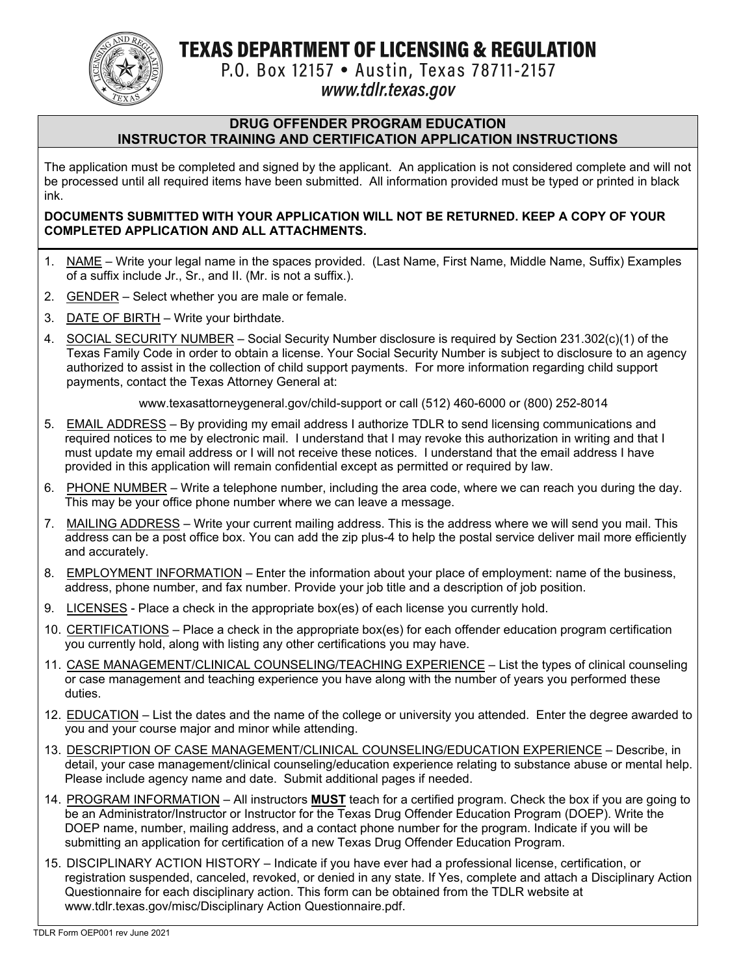**TEXAS DEPARTMENT OF LICENSING & REGULATION** 



P.O. Box 12157 . Austin, Texas 78711-2157

# www.tdlr.texas.gov

### **DRUG OFFENDER PROGRAM EDUCATION INSTRUCTOR TRAINING AND CERTIFICATION APPLICATION INSTRUCTIONS**

The application must be completed and signed by the applicant. An application is not considered complete and will not be processed until all required items have been submitted. All information provided must be typed or printed in black ink.

### **DOCUMENTS SUBMITTED WITH YOUR APPLICATION WILL NOT BE RETURNED. KEEP A COPY OF YOUR COMPLETED APPLICATION AND ALL ATTACHMENTS.**

- 1. NAME Write your legal name in the spaces provided. (Last Name, First Name, Middle Name, Suffix) Examples of a suffix include Jr., Sr., and II. (Mr. is not a suffix.).
- 2. GENDER Select whether you are male or female.
- 3. DATE OF BIRTH Write your birthdate.
- 4. SOCIAL SECURITY NUMBER Social Security Number disclosure is required by Section 231.302(c)(1) of the Texas Family Code in order to obtain a license. Your Social Security Number is subject to disclosure to an agency authorized to assist in the collection of child support payments. For more information regarding child support payments, contact the Texas Attorney General at:

www.texasattorneygeneral.gov/child-support or call (512) 460-6000 or (800) 252-8014

- 5. EMAIL ADDRESS By providing my email address I authorize TDLR to send licensing communications and required notices to me by electronic mail. I understand that I may revoke this authorization in writing and that I must update my email address or I will not receive these notices. I understand that the email address I have provided in this application will remain confidential except as permitted or required by law.
- 6. PHONE NUMBER Write a telephone number, including the area code, where we can reach you during the day. This may be your office phone number where we can leave a message.
- 7. MAILING ADDRESS Write your current mailing address. This is the address where we will send you mail. This address can be a post office box. You can add the zip plus-4 to help the postal service deliver mail more efficiently and accurately.
- 8. EMPLOYMENT INFORMATION Enter the information about your place of employment: name of the business, address, phone number, and fax number. Provide your job title and a description of job position.
- 9. LICENSES Place a check in the appropriate box(es) of each license you currently hold.
- 10. CERTIFICATIONS Place a check in the appropriate box(es) for each offender education program certification you currently hold, along with listing any other certifications you may have.
- 11. CASE MANAGEMENT/CLINICAL COUNSELING/TEACHING EXPERIENCE List the types of clinical counseling or case management and teaching experience you have along with the number of years you performed these duties.
- 12. EDUCATION List the dates and the name of the college or university you attended. Enter the degree awarded to you and your course major and minor while attending.
- 13. DESCRIPTION OF CASE MANAGEMENT/CLINICAL COUNSELING/EDUCATION EXPERIENCE Describe, in detail, your case management/clinical counseling/education experience relating to substance abuse or mental help. Please include agency name and date. Submit additional pages if needed.
- 14. PROGRAM INFORMATION All instructors **MUST** teach for a certified program. Check the box if you are going to be an Administrator/Instructor or Instructor for the Texas Drug Offender Education Program (DOEP). Write the DOEP name, number, mailing address, and a contact phone number for the program. Indicate if you will be submitting an application for certification of a new Texas Drug Offender Education Program.
- 15. DISCIPLINARY ACTION HISTORY Indicate if you have ever had a professional license, certification, or registration suspended, canceled, revoked, or denied in any state. If Yes, complete and attach a Disciplinary Action Questionnaire for each disciplinary action. This form can be obtained from the TDLR website at www.tdlr.texas.gov/misc/Disciplinary Action Questionnaire.pdf.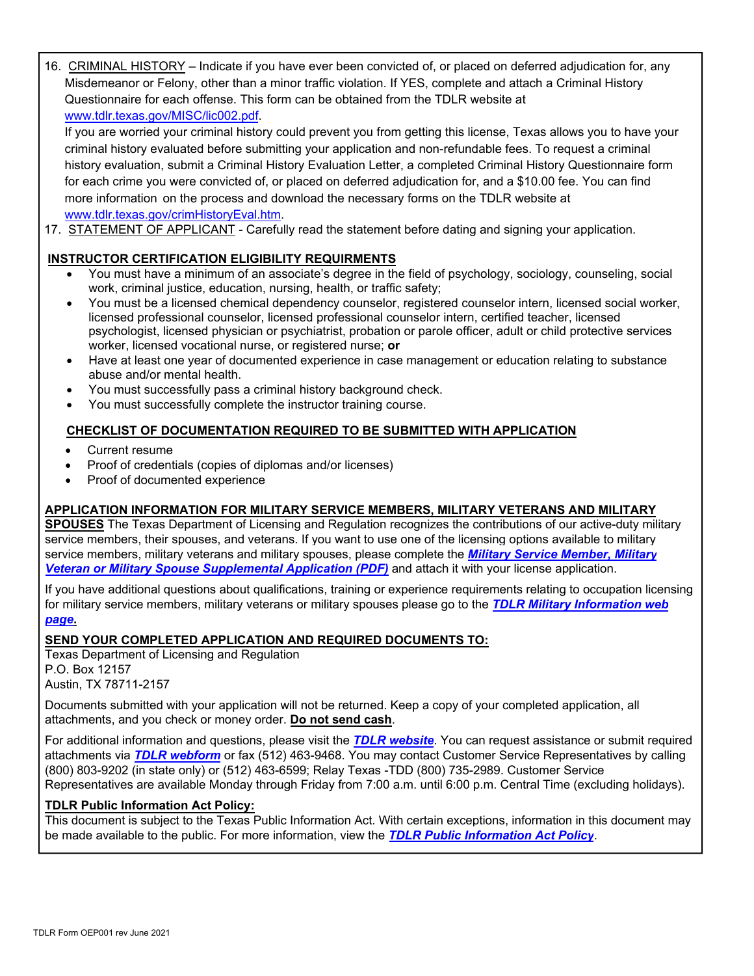16. CRIMINAL HISTORY – Indicate if you have ever been convicted of, or placed on deferred adjudication for, any Misdemeanor or Felony, other than a minor traffic violation. If YES, complete and attach a Criminal History Questionnaire for each offense. This form can be obtained from the TDLR website at www.tdlr.texas.gov/MISC/lic002.pdf.

If you are worried your criminal history could prevent you from getting this license, Texas allows you to have your criminal history evaluated before submitting your application and non-refundable fees. To request a criminal history evaluation, submit a Criminal History Evaluation Letter, a completed Criminal History Questionnaire form for each crime you were convicted of, or placed on deferred adjudication for, and a \$10.00 fee. You can find more information on the process and download the necessary forms on the TDLR website at www.tdlr.texas.gov/crimHistoryEval.htm.

17. STATEMENT OF APPLICANT - Carefully read the statement before dating and signing your application.

# **INSTRUCTOR CERTIFICATION ELIGIBILITY REQUIRMENTS**

- You must have a minimum of an associate's degree in the field of psychology, sociology, counseling, social work, criminal justice, education, nursing, health, or traffic safety;
- You must be a licensed chemical dependency counselor, registered counselor intern, licensed social worker, licensed professional counselor, licensed professional counselor intern, certified teacher, licensed psychologist, licensed physician or psychiatrist, probation or parole officer, adult or child protective services worker, licensed vocational nurse, or registered nurse; **or**
- Have at least one year of documented experience in case management or education relating to substance abuse and/or mental health.
- You must successfully pass a criminal history background check.
- You must successfully complete the instructor training course.

## **CHECKLIST OF DOCUMENTATION REQUIRED TO BE SUBMITTED WITH APPLICATION**

- Current resume
- Proof of credentials (copies of diplomas and/or licenses)
- Proof of documented experience

## **APPLICATION INFORMATION FOR MILITARY SERVICE MEMBERS, MILITARY VETERANS AND MILITARY**

**SPOUSES** The Texas Department of Licensing and Regulation recognizes the contributions of our active-duty military service members, their spouses, and veterans. If you want to use one of the licensing options available to military [service members, military veterans and military spouses, please complete the](https://www.tdlr.texas.gov/misc/militarysupplemental.pdf) *Military Service Member, Military Veteran or Military Spouse Supplemental Application (PDF)* and attach it with your license application.

If you have additional questions about qualifications, training or experience requirements relating to occupation licensing [for military service members, military veterans or military spouses please go to the](https://www.tdlr.texas.gov/military/) *TDLR Military Information web page***.** 

#### **SEND YOUR COMPLETED APPLICATION AND REQUIRED DOCUMENTS TO:**

Texas Department of Licensing and Regulation P.O. Box 12157 Austin, TX 78711-2157

Documents submitted with your application will not be returned. Keep a copy of your completed application, all attachments, and you check or money order. **Do not send cash**.

For additional information and questions, please visit the *[TDLR website](https://www.tdlr.texas.gov/)*. You can request assistance or submit required attachments via *[TDLR webform](https://www.tdlr.texas.gov/help/)* or fax (512) 463-9468. You may contact Customer Service Representatives by calling (800) 803-9202 (in state only) or (512) 463-6599; Relay Texas -TDD (800) 735-2989. Customer Service Representatives are available Monday through Friday from 7:00 a.m. until 6:00 p.m. Central Time (excluding holidays).

#### **TDLR Public Information Act Policy:**

This document is subject to the Texas Public Information Act. With certain exceptions, information in this document may be made available to the public. For more information, view the *[TDLR Public Information Act Policy](https://www.tdlr.texas.gov/disclaimer.htm#PublicInfoPolicy)*.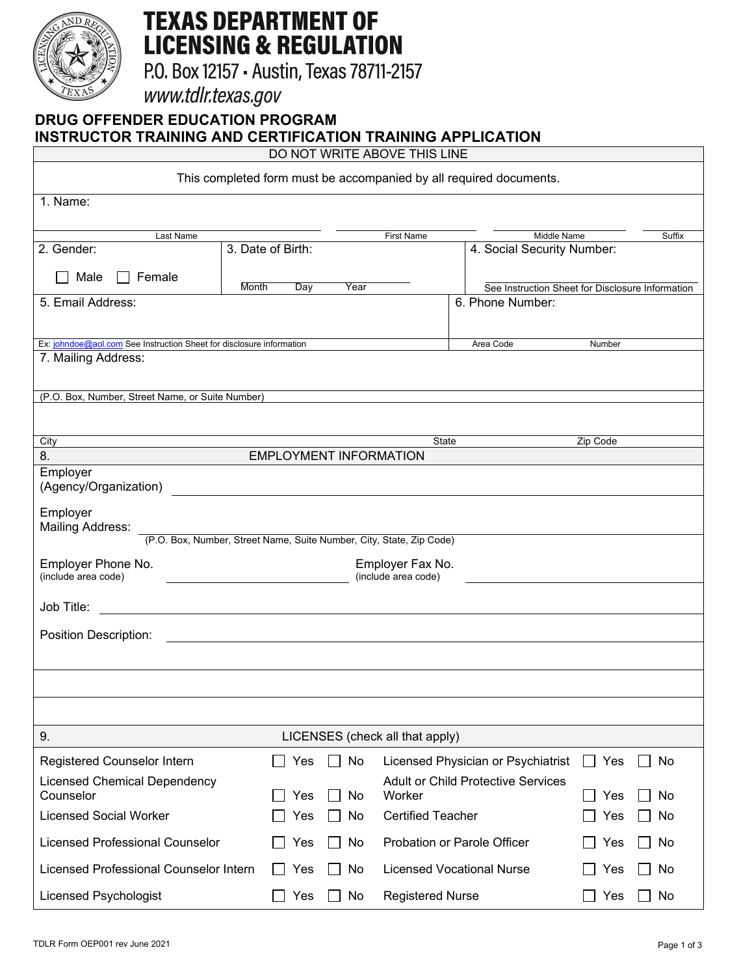

# **TEXAS DEPARTMENT OF LICENSING & REGULATION**

P.O. Box 12157 - Austin, Texas 78711-2157

www.tdlr.texas.gov

# **DRUG OFFENDER EDUCATION PROGRAM INSTRUCTOR TRAINING AND CERTIFICATION TRAINING APPLICATION**

DO NOT WRITE ABOVE THIS LINE

| This completed form must be accompanied by all required documents.                          |                                         |                                  |                                                  |                       |        |  |
|---------------------------------------------------------------------------------------------|-----------------------------------------|----------------------------------|--------------------------------------------------|-----------------------|--------|--|
| 1. Name:                                                                                    |                                         |                                  |                                                  |                       |        |  |
|                                                                                             |                                         |                                  |                                                  |                       |        |  |
| Last Name<br>2. Gender:                                                                     | 3. Date of Birth:                       | <b>First Name</b>                | Middle Name<br>4. Social Security Number:        |                       | Suffix |  |
|                                                                                             |                                         |                                  |                                                  |                       |        |  |
| Male<br>Female<br>Month                                                                     | Day<br>Year                             |                                  | See Instruction Sheet for Disclosure Information |                       |        |  |
| 5. Email Address:                                                                           |                                         |                                  | 6. Phone Number:                                 |                       |        |  |
|                                                                                             |                                         |                                  |                                                  |                       |        |  |
| Ex: johndoe@aol.com See Instruction Sheet for disclosure information<br>7. Mailing Address: |                                         |                                  | Area Code                                        | Number                |        |  |
|                                                                                             |                                         |                                  |                                                  |                       |        |  |
| (P.O. Box, Number, Street Name, or Suite Number)                                            |                                         |                                  |                                                  |                       |        |  |
|                                                                                             |                                         |                                  |                                                  |                       |        |  |
| City                                                                                        |                                         | State                            |                                                  | Zip Code              |        |  |
| 8.                                                                                          | <b>EMPLOYMENT INFORMATION</b>           |                                  |                                                  |                       |        |  |
| Employer<br>(Agency/Organization)                                                           |                                         |                                  |                                                  |                       |        |  |
| Employer<br><b>Mailing Address:</b>                                                         |                                         |                                  |                                                  |                       |        |  |
| (P.O. Box, Number, Street Name, Suite Number, City, State, Zip Code)                        |                                         |                                  |                                                  |                       |        |  |
| Employer Phone No.<br>(include area code)                                                   | Employer Fax No.<br>(include area code) |                                  |                                                  |                       |        |  |
| Job Title:                                                                                  |                                         |                                  |                                                  |                       |        |  |
| Position Description:                                                                       |                                         |                                  |                                                  |                       |        |  |
|                                                                                             |                                         |                                  |                                                  |                       |        |  |
|                                                                                             |                                         |                                  |                                                  |                       |        |  |
|                                                                                             |                                         |                                  |                                                  |                       |        |  |
| 9.                                                                                          | LICENSES (check all that apply)         |                                  |                                                  |                       |        |  |
| Registered Counselor Intern                                                                 | Yes<br>No                               |                                  | Licensed Physician or Psychiatrist               | Yes<br>$\blacksquare$ | No     |  |
| <b>Licensed Chemical Dependency</b>                                                         |                                         |                                  | <b>Adult or Child Protective Services</b>        |                       |        |  |
| Counselor                                                                                   | Yes<br>No<br>$\blacksquare$             | Worker                           |                                                  | Yes                   | No     |  |
| <b>Licensed Social Worker</b>                                                               | Yes<br>No                               | <b>Certified Teacher</b>         |                                                  | Yes                   | No     |  |
| <b>Licensed Professional Counselor</b>                                                      | No<br>Yes                               | Probation or Parole Officer      |                                                  | Yes                   | No     |  |
| Licensed Professional Counselor Intern                                                      | No<br>Yes<br>$\blacksquare$             | <b>Licensed Vocational Nurse</b> |                                                  | Yes                   | No     |  |
| Licensed Psychologist                                                                       | Yes<br>No                               | <b>Registered Nurse</b>          |                                                  | Yes                   | No     |  |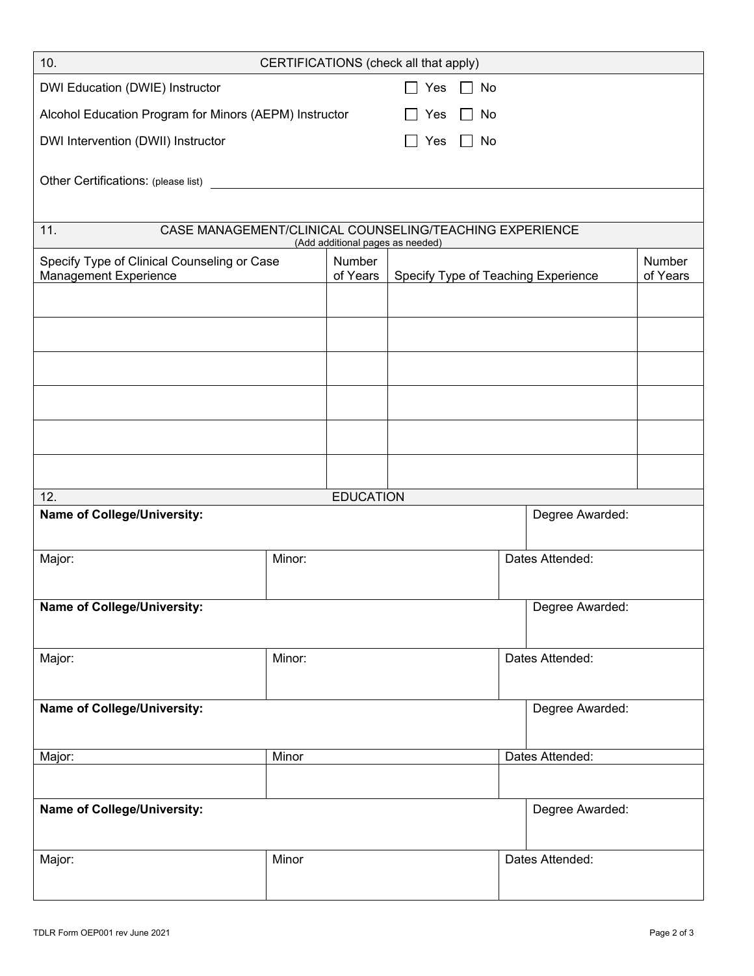| 10.<br>CERTIFICATIONS (check all that apply)                                                       |                           |                  |                                     |  |                 |                 |          |
|----------------------------------------------------------------------------------------------------|---------------------------|------------------|-------------------------------------|--|-----------------|-----------------|----------|
| DWI Education (DWIE) Instructor<br>Yes<br>$\Box$ No                                                |                           |                  |                                     |  |                 |                 |          |
| Alcohol Education Program for Minors (AEPM) Instructor<br>No<br>Yes                                |                           |                  |                                     |  |                 |                 |          |
| DWI Intervention (DWII) Instructor<br>No<br>Yes                                                    |                           |                  |                                     |  |                 |                 |          |
|                                                                                                    |                           |                  |                                     |  |                 |                 |          |
|                                                                                                    |                           |                  |                                     |  |                 |                 |          |
|                                                                                                    |                           |                  |                                     |  |                 |                 |          |
| CASE MANAGEMENT/CLINICAL COUNSELING/TEACHING EXPERIENCE<br>11.<br>(Add additional pages as needed) |                           |                  |                                     |  |                 |                 |          |
| Specify Type of Clinical Counseling or Case                                                        |                           | Number           | Specify Type of Teaching Experience |  |                 | Number          |          |
| <b>Management Experience</b>                                                                       |                           | of Years         |                                     |  |                 |                 | of Years |
|                                                                                                    |                           |                  |                                     |  |                 |                 |          |
|                                                                                                    |                           |                  |                                     |  |                 |                 |          |
|                                                                                                    |                           |                  |                                     |  |                 |                 |          |
|                                                                                                    |                           |                  |                                     |  |                 |                 |          |
|                                                                                                    |                           |                  |                                     |  |                 |                 |          |
|                                                                                                    |                           |                  |                                     |  |                 |                 |          |
|                                                                                                    |                           |                  |                                     |  |                 |                 |          |
| 12.                                                                                                |                           | <b>EDUCATION</b> |                                     |  |                 |                 |          |
| <b>Name of College/University:</b><br>Degree Awarded:                                              |                           |                  |                                     |  |                 |                 |          |
|                                                                                                    |                           |                  |                                     |  |                 |                 |          |
| Major:                                                                                             | Minor:<br>Dates Attended: |                  |                                     |  |                 |                 |          |
|                                                                                                    |                           |                  |                                     |  |                 |                 |          |
| <b>Name of College/University:</b>                                                                 |                           |                  |                                     |  |                 | Degree Awarded: |          |
|                                                                                                    |                           |                  |                                     |  |                 |                 |          |
| Major:                                                                                             | Minor:                    |                  | Dates Attended:                     |  |                 |                 |          |
|                                                                                                    |                           |                  |                                     |  |                 |                 |          |
| Name of College/University:                                                                        |                           |                  |                                     |  |                 | Degree Awarded: |          |
|                                                                                                    |                           |                  |                                     |  |                 |                 |          |
| Major:                                                                                             | Minor                     |                  |                                     |  | Dates Attended: |                 |          |
|                                                                                                    |                           |                  |                                     |  |                 |                 |          |
| Name of College/University:                                                                        |                           |                  |                                     |  |                 | Degree Awarded: |          |
|                                                                                                    |                           |                  |                                     |  |                 |                 |          |
| Major:                                                                                             | Minor                     |                  |                                     |  | Dates Attended: |                 |          |
|                                                                                                    |                           |                  |                                     |  |                 |                 |          |